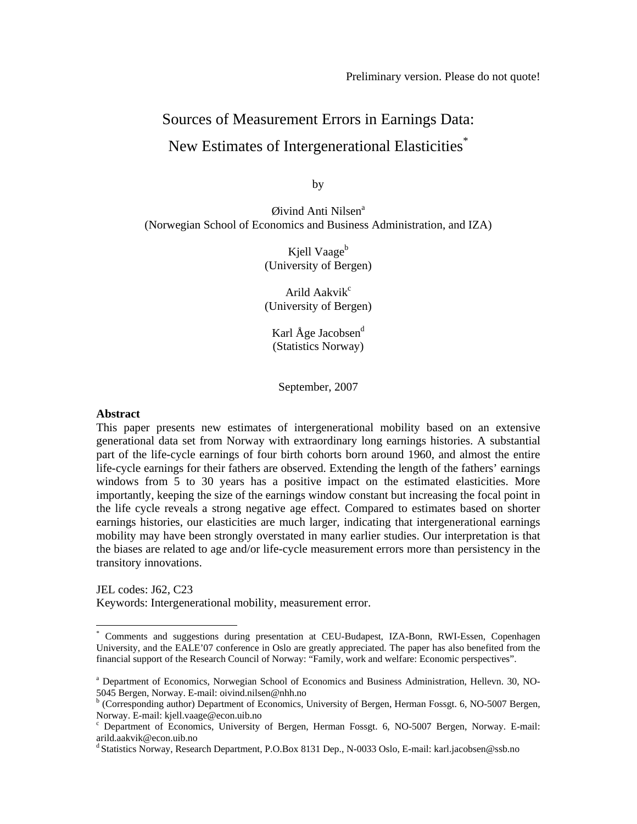# Sources of Measurement Errors in Earnings Data: New Estimates of Intergenerational Elasticities\*

by

 $Q$ ivind Anti Nilsen $a$ (Norwegian School of Economics and Business Administration, and IZA)

> Kjell Vaage<sup>b</sup> (University of Bergen)

> Arild Aakvi $k^c$ (University of Bergen)

Karl  $\AA$ ge Jacobsen $^d$ (Statistics Norway)

September, 2007

#### **Abstract**

 $\overline{a}$ 

This paper presents new estimates of intergenerational mobility based on an extensive generational data set from Norway with extraordinary long earnings histories. A substantial part of the life-cycle earnings of four birth cohorts born around 1960, and almost the entire life-cycle earnings for their fathers are observed. Extending the length of the fathers' earnings windows from 5 to 30 years has a positive impact on the estimated elasticities. More importantly, keeping the size of the earnings window constant but increasing the focal point in the life cycle reveals a strong negative age effect. Compared to estimates based on shorter earnings histories, our elasticities are much larger, indicating that intergenerational earnings mobility may have been strongly overstated in many earlier studies. Our interpretation is that the biases are related to age and/or life-cycle measurement errors more than persistency in the transitory innovations.

JEL codes: J62, C23 Keywords: Intergenerational mobility, measurement error.

<sup>\*</sup> Comments and suggestions during presentation at CEU-Budapest, IZA-Bonn, RWI-Essen, Copenhagen University, and the EALE'07 conference in Oslo are greatly appreciated. The paper has also benefited from the financial support of the Research Council of Norway: "Family, work and welfare: Economic perspectives".

<sup>&</sup>lt;sup>a</sup> Department of Economics, Norwegian School of Economics and Business Administration, Hellevn. 30, NO-5045 Bergen, Norway. E-mail: oivind.nilsen@nhh.no

<sup>&</sup>lt;sup>b</sup> (Corresponding author) Department of Economics, University of Bergen, Herman Fossgt. 6, NO-5007 Bergen, Norway. E-mail: kjell.vaage@econ.uib.no

<sup>&</sup>lt;sup>c</sup> Department of Economics, University of Bergen, Herman Fossgt. 6, NO-5007 Bergen, Norway. E-mail: arild.aakvik@econ.uib.no

d Statistics Norway, Research Department, P.O.Box 8131 Dep., N-0033 Oslo, E-mail: karl.jacobsen@ssb.no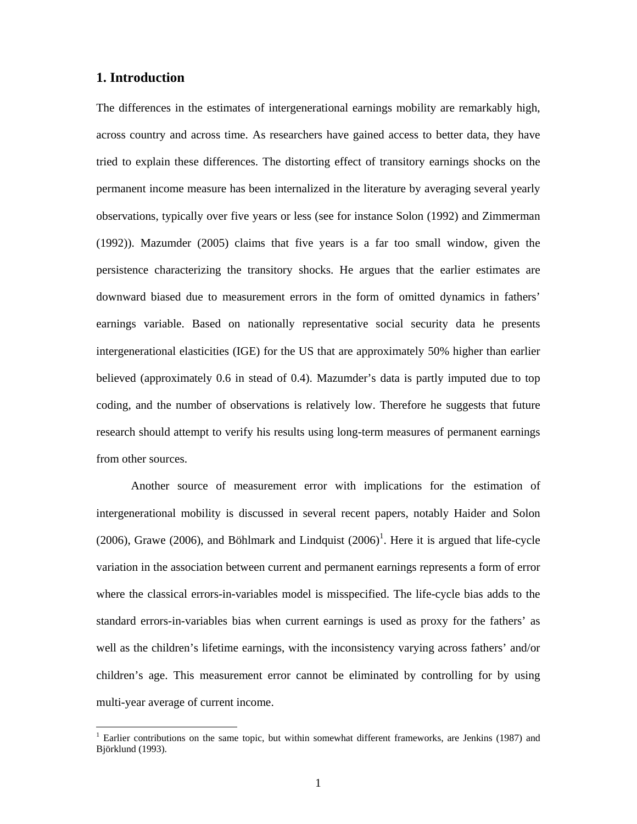## **1. Introduction**

 $\overline{\phantom{a}}$ 

The differences in the estimates of intergenerational earnings mobility are remarkably high, across country and across time. As researchers have gained access to better data, they have tried to explain these differences. The distorting effect of transitory earnings shocks on the permanent income measure has been internalized in the literature by averaging several yearly observations, typically over five years or less (see for instance Solon (1992) and Zimmerman (1992)). Mazumder (2005) claims that five years is a far too small window, given the persistence characterizing the transitory shocks. He argues that the earlier estimates are downward biased due to measurement errors in the form of omitted dynamics in fathers' earnings variable. Based on nationally representative social security data he presents intergenerational elasticities (IGE) for the US that are approximately 50% higher than earlier believed (approximately 0.6 in stead of 0.4). Mazumder's data is partly imputed due to top coding, and the number of observations is relatively low. Therefore he suggests that future research should attempt to verify his results using long-term measures of permanent earnings from other sources.

Another source of measurement error with implications for the estimation of intergenerational mobility is discussed in several recent papers, notably Haider and Solon (2006), Grawe (2006), and Böhlmark and Lindquist  $(2006)^1$ . Here it is argued that life-cycle variation in the association between current and permanent earnings represents a form of error where the classical errors-in-variables model is misspecified. The life-cycle bias adds to the standard errors-in-variables bias when current earnings is used as proxy for the fathers' as well as the children's lifetime earnings, with the inconsistency varying across fathers' and/or children's age. This measurement error cannot be eliminated by controlling for by using multi-year average of current income.

<sup>&</sup>lt;sup>1</sup> Earlier contributions on the same topic, but within somewhat different frameworks, are Jenkins (1987) and Björklund (1993).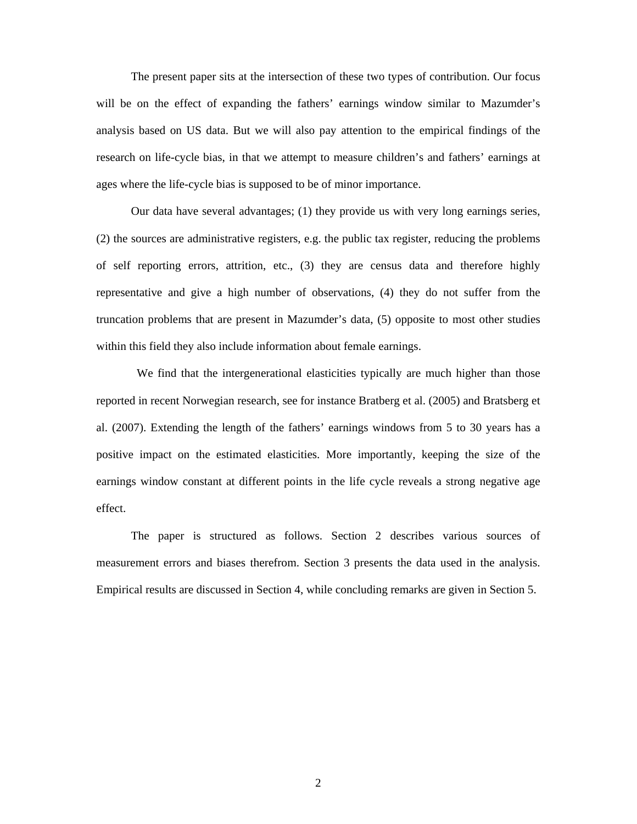The present paper sits at the intersection of these two types of contribution. Our focus will be on the effect of expanding the fathers' earnings window similar to Mazumder's analysis based on US data. But we will also pay attention to the empirical findings of the research on life-cycle bias, in that we attempt to measure children's and fathers' earnings at ages where the life-cycle bias is supposed to be of minor importance.

Our data have several advantages; (1) they provide us with very long earnings series, (2) the sources are administrative registers, e.g. the public tax register, reducing the problems of self reporting errors, attrition, etc., (3) they are census data and therefore highly representative and give a high number of observations, (4) they do not suffer from the truncation problems that are present in Mazumder's data, (5) opposite to most other studies within this field they also include information about female earnings.

 We find that the intergenerational elasticities typically are much higher than those reported in recent Norwegian research, see for instance Bratberg et al. (2005) and Bratsberg et al. (2007). Extending the length of the fathers' earnings windows from 5 to 30 years has a positive impact on the estimated elasticities. More importantly, keeping the size of the earnings window constant at different points in the life cycle reveals a strong negative age effect.

The paper is structured as follows. Section 2 describes various sources of measurement errors and biases therefrom. Section 3 presents the data used in the analysis. Empirical results are discussed in Section 4, while concluding remarks are given in Section 5.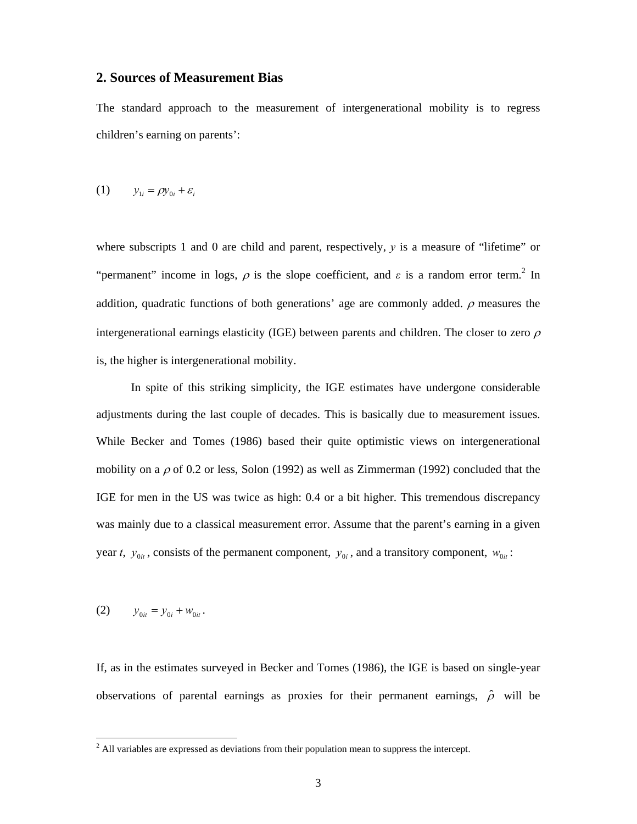## **2. Sources of Measurement Bias**

The standard approach to the measurement of intergenerational mobility is to regress children's earning on parents':

$$
(1) \qquad y_{1i} = \rho y_{0i} + \varepsilon_i
$$

where subscripts 1 and 0 are child and parent, respectively, *y* is a measure of "lifetime" or "permanent" income in logs,  $\rho$  is the slope coefficient, and  $\varepsilon$  is a random error term.<sup>2</sup> In addition, quadratic functions of both generations' age are commonly added.  $\rho$  measures the intergenerational earnings elasticity (IGE) between parents and children. The closer to zero  $\rho$ is, the higher is intergenerational mobility.

In spite of this striking simplicity, the IGE estimates have undergone considerable adjustments during the last couple of decades. This is basically due to measurement issues. While Becker and Tomes (1986) based their quite optimistic views on intergenerational mobility on a  $\rho$  of 0.2 or less, Solon (1992) as well as Zimmerman (1992) concluded that the IGE for men in the US was twice as high: 0.4 or a bit higher. This tremendous discrepancy was mainly due to a classical measurement error. Assume that the parent's earning in a given year *t*,  $y_{0it}$ , consists of the permanent component,  $y_{0it}$ , and a transitory component,  $w_{0it}$ :

(2) 
$$
y_{0it} = y_{0i} + w_{0it}.
$$

If, as in the estimates surveyed in Becker and Tomes (1986), the IGE is based on single-year observations of parental earnings as proxies for their permanent earnings,  $\hat{\rho}$  will be

<sup>&</sup>lt;sup>2</sup> All variables are expressed as deviations from their population mean to suppress the intercept.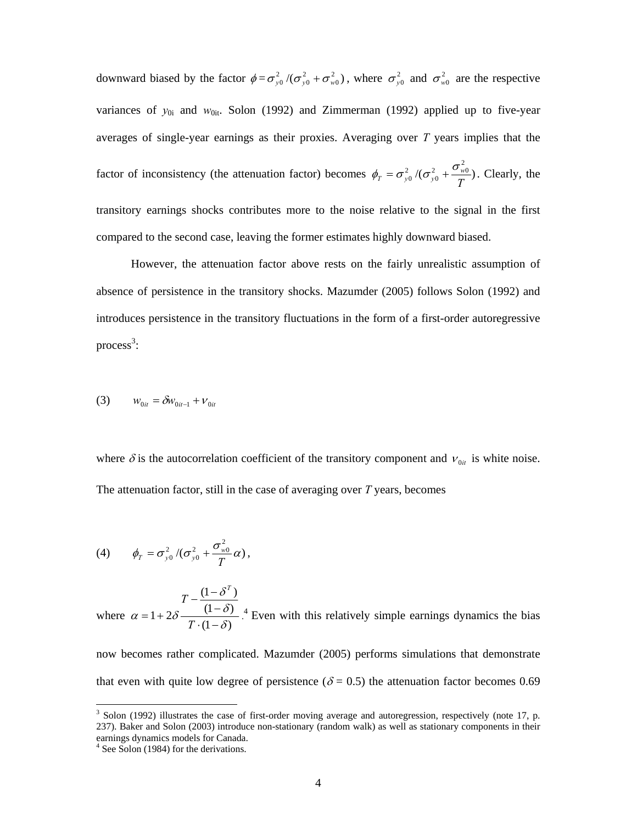downward biased by the factor  $\phi = \sigma_{y0}^2/(\sigma_{y0}^2 + \sigma_{w0}^2)$ , where  $\sigma_{y0}^2$  and  $\sigma_{w0}^2$  are the respective variances of  $y_{0i}$  and  $w_{0it}$ . Solon (1992) and Zimmerman (1992) applied up to five-year averages of single-year earnings as their proxies. Averaging over *T* years implies that the factor of inconsistency (the attenuation factor) becomes  $\phi_T = \sigma_{v0}^2/(\sigma_{v0}^2 + \frac{\sigma_{w0}}{\sigma_v})$  $\phi_T = \sigma_{y0}^2/(\sigma_{y0}^2 + \frac{\sigma_{w0}^2}{T})$ . Clearly, the transitory earnings shocks contributes more to the noise relative to the signal in the first compared to the second case, leaving the former estimates highly downward biased.

 However, the attenuation factor above rests on the fairly unrealistic assumption of absence of persistence in the transitory shocks. Mazumder (2005) follows Solon (1992) and introduces persistence in the transitory fluctuations in the form of a first-order autoregressive  $process<sup>3</sup>$ :

(3) 
$$
w_{0it} = \delta w_{0it-1} + v_{0it}
$$

where  $\delta$  is the autocorrelation coefficient of the transitory component and  $v_{0it}$  is white noise. The attenuation factor, still in the case of averaging over *T* years, becomes

$$
(4) \qquad \phi_T = \sigma_{y0}^2 / (\sigma_{y0}^2 + \frac{\sigma_{w0}^2}{T}\alpha),
$$

where  $(1 - \delta)$  $(1 - \delta)$  $(1 - \delta^T)$  $1+2\delta \frac{1-\delta}{T \cdot (1-\delta)}$ δ δ  $\alpha = 1 + 2\delta \frac{V}{T (1 -$ −  $-\frac{(1 = 1 +$ *T T T* . <sup>4</sup> Even with this relatively simple earnings dynamics the bias

now becomes rather complicated. Mazumder (2005) performs simulations that demonstrate that even with quite low degree of persistence ( $\delta = 0.5$ ) the attenuation factor becomes 0.69

 $\overline{a}$ 

 $3$  Solon (1992) illustrates the case of first-order moving average and autoregression, respectively (note 17, p. 237). Baker and Solon (2003) introduce non-stationary (random walk) as well as stationary components in their earnings dynamics models for Canada.

<sup>&</sup>lt;sup>4</sup> See Solon (1984) for the derivations.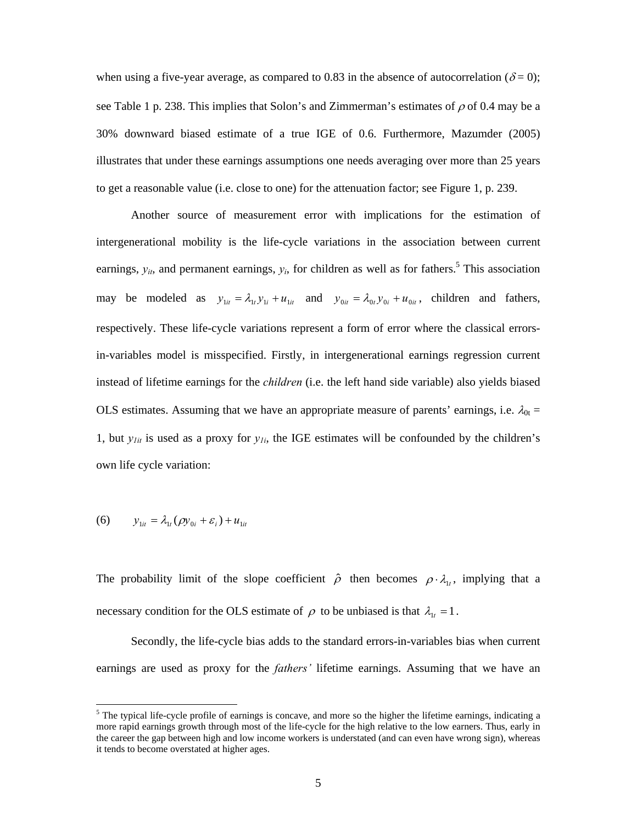when using a five-year average, as compared to 0.83 in the absence of autocorrelation ( $\delta$  = 0); see Table 1 p. 238. This implies that Solon's and Zimmerman's estimates of  $\rho$  of 0.4 may be a 30% downward biased estimate of a true IGE of 0.6. Furthermore, Mazumder (2005) illustrates that under these earnings assumptions one needs averaging over more than 25 years to get a reasonable value (i.e. close to one) for the attenuation factor; see Figure 1, p. 239.

 Another source of measurement error with implications for the estimation of intergenerational mobility is the life-cycle variations in the association between current earnings,  $y_{it}$ , and permanent earnings,  $y_i$ , for children as well as for fathers.<sup>5</sup> This association may be modeled as  $y_{1it} = \lambda_i y_{1i} + u_{1it}$  and  $y_{0it} = \lambda_0 y_{0i} + u_{0it}$ , children and fathers, respectively. These life-cycle variations represent a form of error where the classical errorsin-variables model is misspecified. Firstly, in intergenerational earnings regression current instead of lifetime earnings for the *children* (i.e. the left hand side variable) also yields biased OLS estimates. Assuming that we have an appropriate measure of parents' earnings, i.e.  $\lambda_{0t} =$ 1, but  $y_{1it}$  is used as a proxy for  $y_{1i}$ , the IGE estimates will be confounded by the children's own life cycle variation:

(6) 
$$
y_{1it} = \lambda_{1t} (\rho y_{0i} + \varepsilon_i) + u_{1it}
$$

 $\overline{a}$ 

The probability limit of the slope coefficient  $\hat{\rho}$  then becomes  $\rho \cdot \lambda_i$ , implying that a necessary condition for the OLS estimate of  $\rho$  to be unbiased is that  $\lambda_{1t} = 1$ .

 Secondly, the life-cycle bias adds to the standard errors-in-variables bias when current earnings are used as proxy for the *fathers'* lifetime earnings. Assuming that we have an

 $<sup>5</sup>$  The typical life-cycle profile of earnings is concave, and more so the higher the lifetime earnings, indicating a</sup> more rapid earnings growth through most of the life-cycle for the high relative to the low earners. Thus, early in the career the gap between high and low income workers is understated (and can even have wrong sign), whereas it tends to become overstated at higher ages.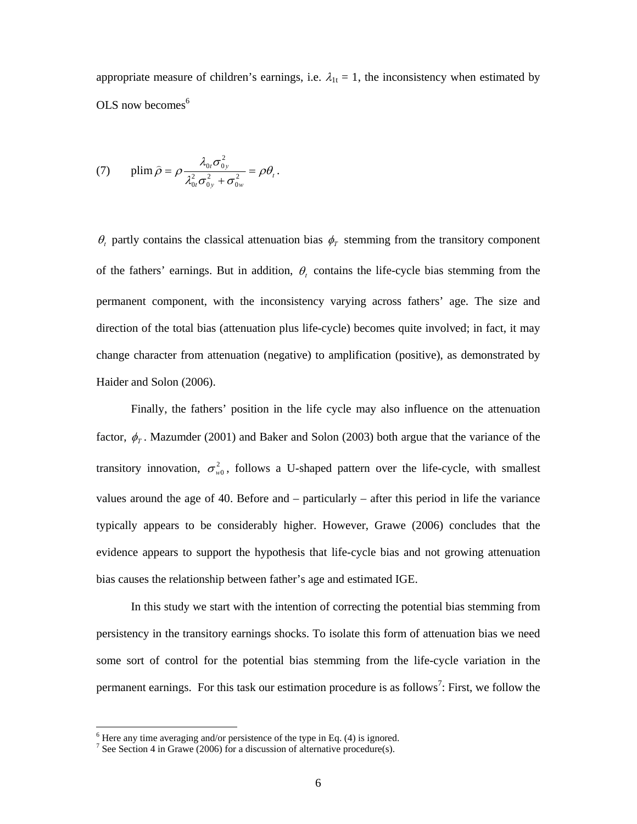appropriate measure of children's earnings, i.e.  $\lambda_{1t} = 1$ , the inconsistency when estimated by OLS now becomes $<sup>6</sup>$ </sup>

(7) 
$$
\text{plim}\,\hat{\rho} = \rho \frac{\lambda_{0t}\sigma_{0y}^2}{\lambda_{0t}^2 \sigma_{0y}^2 + \sigma_{0w}^2} = \rho \theta_t.
$$

 $\theta_t$  partly contains the classical attenuation bias  $\phi_T$  stemming from the transitory component of the fathers' earnings. But in addition,  $\theta$ , contains the life-cycle bias stemming from the permanent component, with the inconsistency varying across fathers' age. The size and direction of the total bias (attenuation plus life-cycle) becomes quite involved; in fact, it may change character from attenuation (negative) to amplification (positive), as demonstrated by Haider and Solon (2006).

 Finally, the fathers' position in the life cycle may also influence on the attenuation factor,  $\phi_{T}$ . Mazumder (2001) and Baker and Solon (2003) both argue that the variance of the transitory innovation,  $\sigma_{w0}^2$ , follows a U-shaped pattern over the life-cycle, with smallest values around the age of 40. Before and – particularly – after this period in life the variance typically appears to be considerably higher. However, Grawe (2006) concludes that the evidence appears to support the hypothesis that life-cycle bias and not growing attenuation bias causes the relationship between father's age and estimated IGE.

In this study we start with the intention of correcting the potential bias stemming from persistency in the transitory earnings shocks. To isolate this form of attenuation bias we need some sort of control for the potential bias stemming from the life-cycle variation in the permanent earnings. For this task our estimation procedure is as follows<sup>7</sup>: First, we follow the

 $\overline{\phantom{a}}$ 

 $6$  Here any time averaging and/or persistence of the type in Eq. (4) is ignored.

<sup>&</sup>lt;sup>7</sup> See Section 4 in Grawe (2006) for a discussion of alternative procedure(s).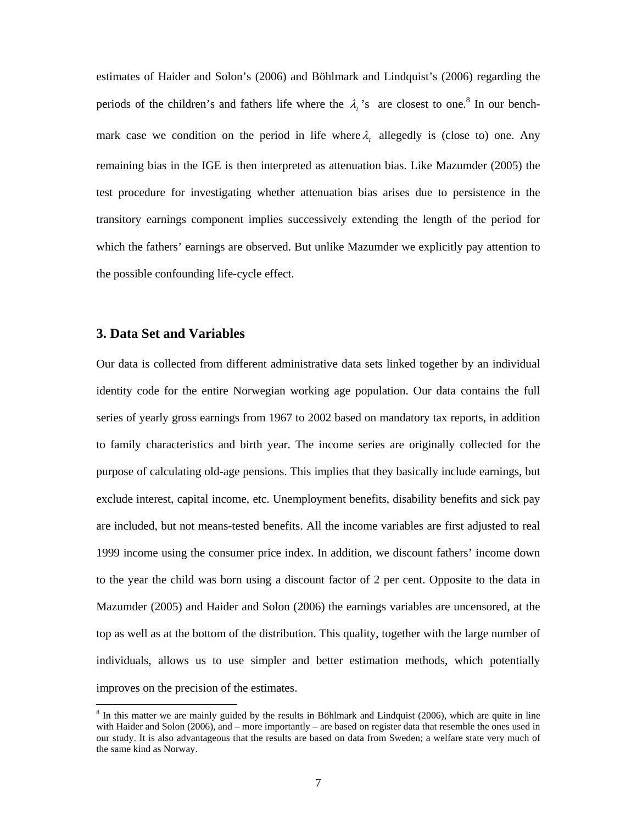estimates of Haider and Solon's (2006) and Böhlmark and Lindquist's (2006) regarding the periods of the children's and fathers life where the  $\lambda_i$ 's are closest to one.<sup>8</sup> In our benchmark case we condition on the period in life where  $\lambda$ , allegedly is (close to) one. Any remaining bias in the IGE is then interpreted as attenuation bias. Like Mazumder (2005) the test procedure for investigating whether attenuation bias arises due to persistence in the transitory earnings component implies successively extending the length of the period for which the fathers' earnings are observed. But unlike Mazumder we explicitly pay attention to the possible confounding life-cycle effect.

## **3. Data Set and Variables**

Our data is collected from different administrative data sets linked together by an individual identity code for the entire Norwegian working age population. Our data contains the full series of yearly gross earnings from 1967 to 2002 based on mandatory tax reports, in addition to family characteristics and birth year. The income series are originally collected for the purpose of calculating old-age pensions. This implies that they basically include earnings, but exclude interest, capital income, etc. Unemployment benefits, disability benefits and sick pay are included, but not means-tested benefits. All the income variables are first adjusted to real 1999 income using the consumer price index. In addition, we discount fathers' income down to the year the child was born using a discount factor of 2 per cent. Opposite to the data in Mazumder (2005) and Haider and Solon (2006) the earnings variables are uncensored, at the top as well as at the bottom of the distribution. This quality, together with the large number of individuals, allows us to use simpler and better estimation methods, which potentially improves on the precision of the estimates.

 $8 \text{ In this matter we are mainly guided by the results in Böhlmark and Lindquist (2006), which are quite in line.}$ with Haider and Solon (2006), and – more importantly – are based on register data that resemble the ones used in our study. It is also advantageous that the results are based on data from Sweden; a welfare state very much of the same kind as Norway.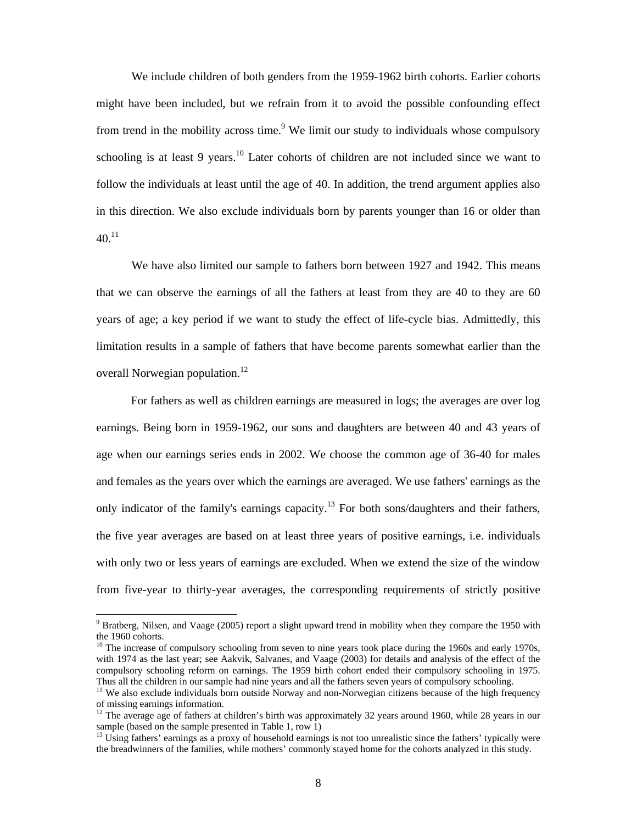We include children of both genders from the 1959-1962 birth cohorts. Earlier cohorts might have been included, but we refrain from it to avoid the possible confounding effect from trend in the mobility across time.<sup>9</sup> We limit our study to individuals whose compulsory schooling is at least 9 years.<sup>10</sup> Later cohorts of children are not included since we want to follow the individuals at least until the age of 40. In addition, the trend argument applies also in this direction. We also exclude individuals born by parents younger than 16 or older than  $40^{11}$ 

We have also limited our sample to fathers born between 1927 and 1942. This means that we can observe the earnings of all the fathers at least from they are 40 to they are 60 years of age; a key period if we want to study the effect of life-cycle bias. Admittedly, this limitation results in a sample of fathers that have become parents somewhat earlier than the overall Norwegian population.<sup>12</sup>

For fathers as well as children earnings are measured in logs; the averages are over log earnings. Being born in 1959-1962, our sons and daughters are between 40 and 43 years of age when our earnings series ends in 2002. We choose the common age of 36-40 for males and females as the years over which the earnings are averaged. We use fathers' earnings as the only indicator of the family's earnings capacity.<sup>13</sup> For both sons/daughters and their fathers, the five year averages are based on at least three years of positive earnings, i.e. individuals with only two or less years of earnings are excluded. When we extend the size of the window from five-year to thirty-year averages, the corresponding requirements of strictly positive

 $\overline{a}$ 

<sup>&</sup>lt;sup>9</sup> Bratberg, Nilsen, and Vaage (2005) report a slight upward trend in mobility when they compare the 1950 with the 1960 cohorts.

<sup>&</sup>lt;sup>10</sup> The increase of compulsory schooling from seven to nine years took place during the 1960s and early 1970s, with 1974 as the last year; see Aakvik, Salvanes, and Vaage (2003) for details and analysis of the effect of the compulsory schooling reform on earnings. The 1959 birth cohort ended their compulsory schooling in 1975. Thus all the children in our sample had nine years and all the fathers seven years of compulsory schooling.

<sup>&</sup>lt;sup>11</sup> We also exclude individuals born outside Norway and non-Norwegian citizens because of the high frequency of missing earnings information.

<sup>12</sup> The average age of fathers at children's birth was approximately 32 years around 1960, while 28 years in our sample (based on the sample presented in Table 1, row 1)

 $13$  Using fathers' earnings as a proxy of household earnings is not too unrealistic since the fathers' typically were the breadwinners of the families, while mothers' commonly stayed home for the cohorts analyzed in this study.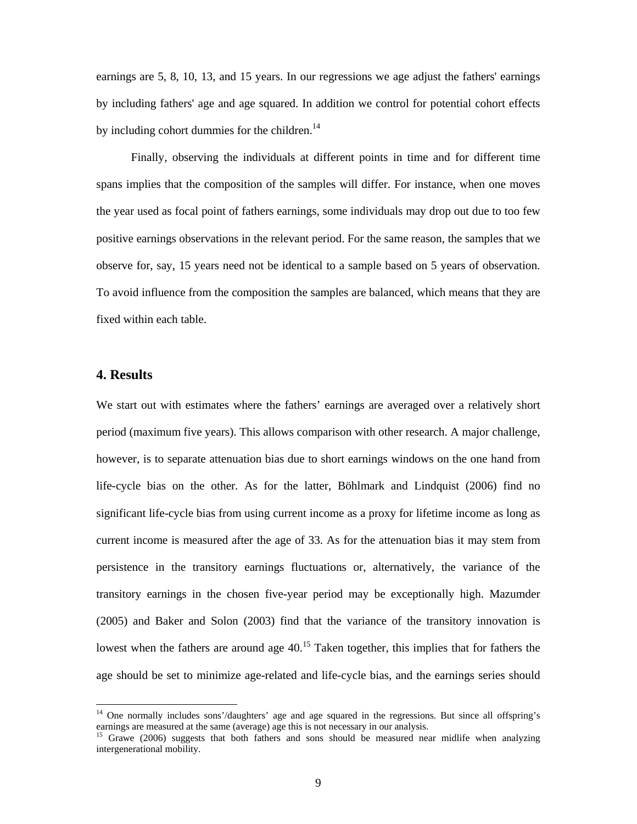earnings are 5, 8, 10, 13, and 15 years. In our regressions we age adjust the fathers' earnings by including fathers' age and age squared. In addition we control for potential cohort effects by including cohort dummies for the children. $14$ 

Finally, observing the individuals at different points in time and for different time spans implies that the composition of the samples will differ. For instance, when one moves the year used as focal point of fathers earnings, some individuals may drop out due to too few positive earnings observations in the relevant period. For the same reason, the samples that we observe for, say, 15 years need not be identical to a sample based on 5 years of observation. To avoid influence from the composition the samples are balanced, which means that they are fixed within each table.

## **4. Results**

 $\overline{a}$ 

We start out with estimates where the fathers' earnings are averaged over a relatively short period (maximum five years). This allows comparison with other research. A major challenge, however, is to separate attenuation bias due to short earnings windows on the one hand from life-cycle bias on the other. As for the latter, Böhlmark and Lindquist (2006) find no significant life-cycle bias from using current income as a proxy for lifetime income as long as current income is measured after the age of 33. As for the attenuation bias it may stem from persistence in the transitory earnings fluctuations or, alternatively, the variance of the transitory earnings in the chosen five-year period may be exceptionally high. Mazumder (2005) and Baker and Solon (2003) find that the variance of the transitory innovation is lowest when the fathers are around age  $40<sup>15</sup>$  Taken together, this implies that for fathers the age should be set to minimize age-related and life-cycle bias, and the earnings series should

<sup>&</sup>lt;sup>14</sup> One normally includes sons'/daughters' age and age squared in the regressions. But since all offspring's earnings are measured at the same (average) age this is not necessary in our analysis.

<sup>15</sup> Grawe (2006) suggests that both fathers and sons should be measured near midlife when analyzing intergenerational mobility.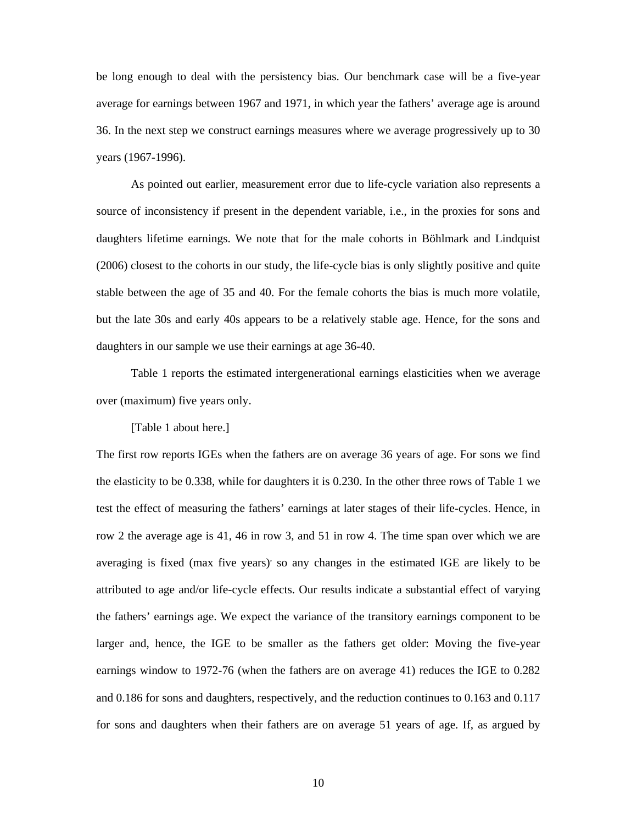be long enough to deal with the persistency bias. Our benchmark case will be a five-year average for earnings between 1967 and 1971, in which year the fathers' average age is around 36. In the next step we construct earnings measures where we average progressively up to 30 years (1967-1996).

 As pointed out earlier, measurement error due to life-cycle variation also represents a source of inconsistency if present in the dependent variable, i.e., in the proxies for sons and daughters lifetime earnings. We note that for the male cohorts in Böhlmark and Lindquist (2006) closest to the cohorts in our study, the life-cycle bias is only slightly positive and quite stable between the age of 35 and 40. For the female cohorts the bias is much more volatile, but the late 30s and early 40s appears to be a relatively stable age. Hence, for the sons and daughters in our sample we use their earnings at age 36-40.

 Table 1 reports the estimated intergenerational earnings elasticities when we average over (maximum) five years only.

[Table 1 about here.]

The first row reports IGEs when the fathers are on average 36 years of age. For sons we find the elasticity to be 0.338, while for daughters it is 0.230. In the other three rows of Table 1 we test the effect of measuring the fathers' earnings at later stages of their life-cycles. Hence, in row 2 the average age is 41, 46 in row 3, and 51 in row 4. The time span over which we are averaging is fixed (max five years) so any changes in the estimated IGE are likely to be attributed to age and/or life-cycle effects. Our results indicate a substantial effect of varying the fathers' earnings age. We expect the variance of the transitory earnings component to be larger and, hence, the IGE to be smaller as the fathers get older: Moving the five-year earnings window to 1972-76 (when the fathers are on average 41) reduces the IGE to 0.282 and 0.186 for sons and daughters, respectively, and the reduction continues to 0.163 and 0.117 for sons and daughters when their fathers are on average 51 years of age. If, as argued by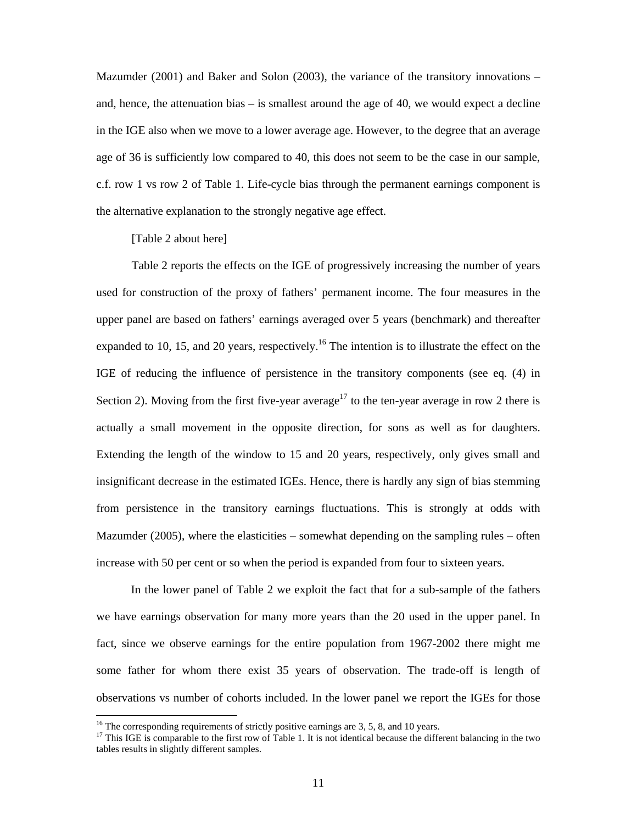Mazumder (2001) and Baker and Solon (2003), the variance of the transitory innovations – and, hence, the attenuation bias – is smallest around the age of 40, we would expect a decline in the IGE also when we move to a lower average age. However, to the degree that an average age of 36 is sufficiently low compared to 40, this does not seem to be the case in our sample, c.f. row 1 vs row 2 of Table 1. Life-cycle bias through the permanent earnings component is the alternative explanation to the strongly negative age effect.

[Table 2 about here]

Table 2 reports the effects on the IGE of progressively increasing the number of years used for construction of the proxy of fathers' permanent income. The four measures in the upper panel are based on fathers' earnings averaged over 5 years (benchmark) and thereafter expanded to 10, 15, and 20 years, respectively.<sup>16</sup> The intention is to illustrate the effect on the IGE of reducing the influence of persistence in the transitory components (see eq. (4) in Section 2). Moving from the first five-year average<sup>17</sup> to the ten-year average in row 2 there is actually a small movement in the opposite direction, for sons as well as for daughters. Extending the length of the window to 15 and 20 years, respectively, only gives small and insignificant decrease in the estimated IGEs. Hence, there is hardly any sign of bias stemming from persistence in the transitory earnings fluctuations. This is strongly at odds with Mazumder (2005), where the elasticities – somewhat depending on the sampling rules – often increase with 50 per cent or so when the period is expanded from four to sixteen years.

In the lower panel of Table 2 we exploit the fact that for a sub-sample of the fathers we have earnings observation for many more years than the 20 used in the upper panel. In fact, since we observe earnings for the entire population from 1967-2002 there might me some father for whom there exist 35 years of observation. The trade-off is length of observations vs number of cohorts included. In the lower panel we report the IGEs for those

<sup>&</sup>lt;sup>16</sup> The corresponding requirements of strictly positive earnings are 3, 5, 8, and 10 years.

<sup>&</sup>lt;sup>17</sup> This IGE is comparable to the first row of Table 1. It is not identical because the different balancing in the two tables results in slightly different samples.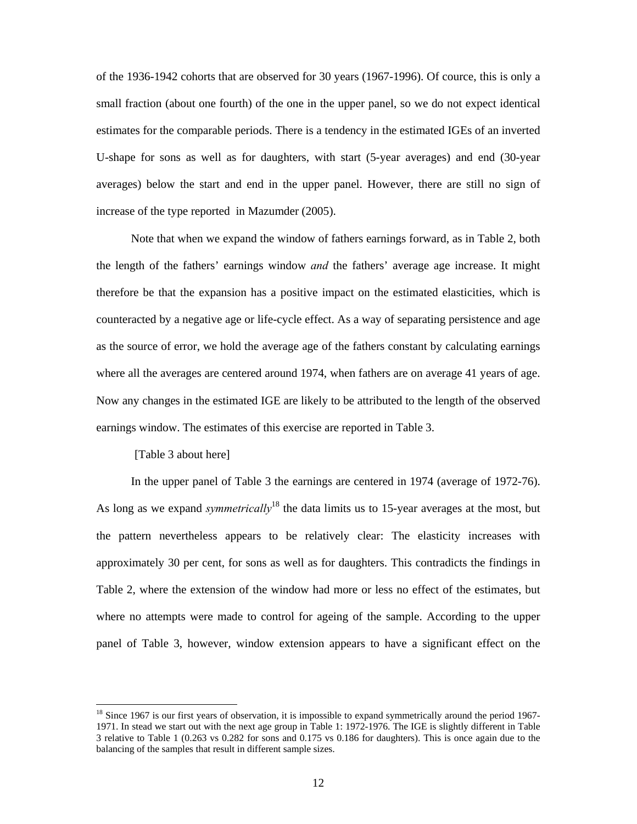of the 1936-1942 cohorts that are observed for 30 years (1967-1996). Of cource, this is only a small fraction (about one fourth) of the one in the upper panel, so we do not expect identical estimates for the comparable periods. There is a tendency in the estimated IGEs of an inverted U-shape for sons as well as for daughters, with start (5-year averages) and end (30-year averages) below the start and end in the upper panel. However, there are still no sign of increase of the type reported in Mazumder (2005).

Note that when we expand the window of fathers earnings forward, as in Table 2, both the length of the fathers' earnings window *and* the fathers' average age increase. It might therefore be that the expansion has a positive impact on the estimated elasticities, which is counteracted by a negative age or life-cycle effect. As a way of separating persistence and age as the source of error, we hold the average age of the fathers constant by calculating earnings where all the averages are centered around 1974, when fathers are on average 41 years of age. Now any changes in the estimated IGE are likely to be attributed to the length of the observed earnings window. The estimates of this exercise are reported in Table 3.

[Table 3 about here]

In the upper panel of Table 3 the earnings are centered in 1974 (average of 1972-76). As long as we expand *symmetrically*<sup>18</sup> the data limits us to 15-year averages at the most, but the pattern nevertheless appears to be relatively clear: The elasticity increases with approximately 30 per cent, for sons as well as for daughters. This contradicts the findings in Table 2, where the extension of the window had more or less no effect of the estimates, but where no attempts were made to control for ageing of the sample. According to the upper panel of Table 3, however, window extension appears to have a significant effect on the

<sup>&</sup>lt;sup>18</sup> Since 1967 is our first years of observation, it is impossible to expand symmetrically around the period 1967-1971. In stead we start out with the next age group in Table 1: 1972-1976. The IGE is slightly different in Table 3 relative to Table 1 (0.263 vs 0.282 for sons and 0.175 vs 0.186 for daughters). This is once again due to the balancing of the samples that result in different sample sizes.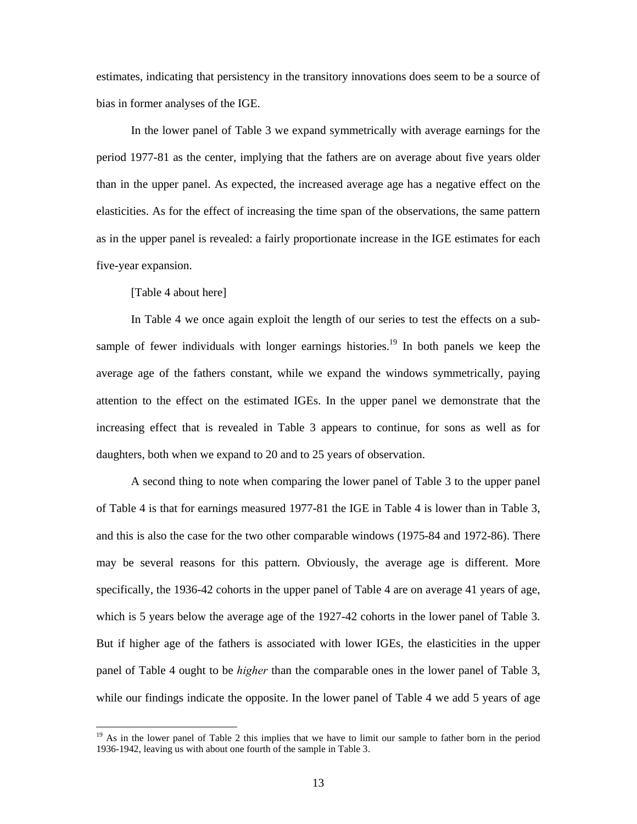estimates, indicating that persistency in the transitory innovations does seem to be a source of bias in former analyses of the IGE.

In the lower panel of Table 3 we expand symmetrically with average earnings for the period 1977-81 as the center, implying that the fathers are on average about five years older than in the upper panel. As expected, the increased average age has a negative effect on the elasticities. As for the effect of increasing the time span of the observations, the same pattern as in the upper panel is revealed: a fairly proportionate increase in the IGE estimates for each five-year expansion.

[Table 4 about here]

 $\overline{\phantom{a}}$ 

In Table 4 we once again exploit the length of our series to test the effects on a subsample of fewer individuals with longer earnings histories.<sup>19</sup> In both panels we keep the average age of the fathers constant, while we expand the windows symmetrically, paying attention to the effect on the estimated IGEs. In the upper panel we demonstrate that the increasing effect that is revealed in Table 3 appears to continue, for sons as well as for daughters, both when we expand to 20 and to 25 years of observation.

 A second thing to note when comparing the lower panel of Table 3 to the upper panel of Table 4 is that for earnings measured 1977-81 the IGE in Table 4 is lower than in Table 3, and this is also the case for the two other comparable windows (1975-84 and 1972-86). There may be several reasons for this pattern. Obviously, the average age is different. More specifically, the 1936-42 cohorts in the upper panel of Table 4 are on average 41 years of age, which is 5 years below the average age of the 1927-42 cohorts in the lower panel of Table 3. But if higher age of the fathers is associated with lower IGEs, the elasticities in the upper panel of Table 4 ought to be *higher* than the comparable ones in the lower panel of Table 3, while our findings indicate the opposite. In the lower panel of Table 4 we add 5 years of age

<sup>&</sup>lt;sup>19</sup> As in the lower panel of Table 2 this implies that we have to limit our sample to father born in the period 1936-1942, leaving us with about one fourth of the sample in Table 3.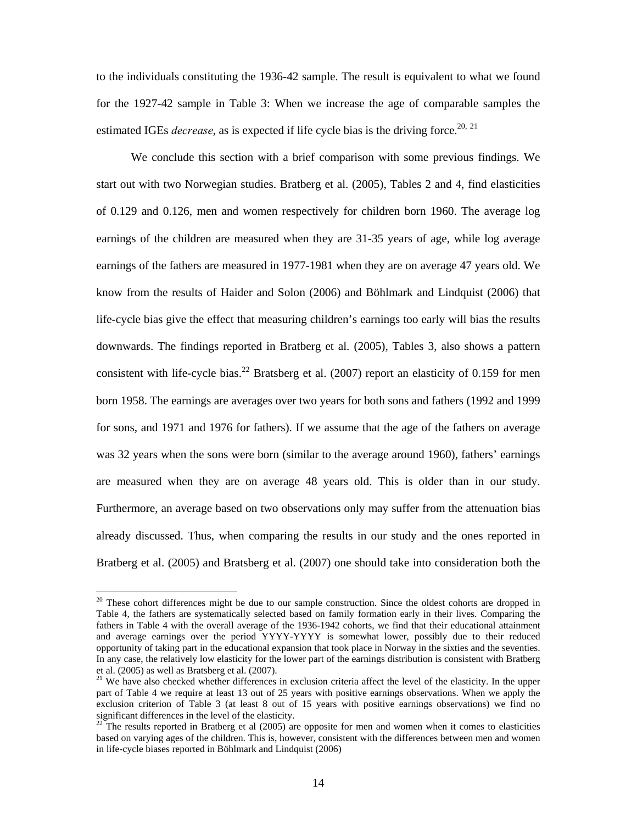to the individuals constituting the 1936-42 sample. The result is equivalent to what we found for the 1927-42 sample in Table 3: When we increase the age of comparable samples the estimated IGEs *decrease*, as is expected if life cycle bias is the driving force.<sup>20, 21</sup>

 We conclude this section with a brief comparison with some previous findings. We start out with two Norwegian studies. Bratberg et al. (2005), Tables 2 and 4, find elasticities of 0.129 and 0.126, men and women respectively for children born 1960. The average log earnings of the children are measured when they are 31-35 years of age, while log average earnings of the fathers are measured in 1977-1981 when they are on average 47 years old. We know from the results of Haider and Solon (2006) and Böhlmark and Lindquist (2006) that life-cycle bias give the effect that measuring children's earnings too early will bias the results downwards. The findings reported in Bratberg et al. (2005), Tables 3, also shows a pattern consistent with life-cycle bias.<sup>22</sup> Bratsberg et al. (2007) report an elasticity of 0.159 for men born 1958. The earnings are averages over two years for both sons and fathers (1992 and 1999 for sons, and 1971 and 1976 for fathers). If we assume that the age of the fathers on average was 32 years when the sons were born (similar to the average around 1960), fathers' earnings are measured when they are on average 48 years old. This is older than in our study. Furthermore, an average based on two observations only may suffer from the attenuation bias already discussed. Thus, when comparing the results in our study and the ones reported in Bratberg et al. (2005) and Bratsberg et al. (2007) one should take into consideration both the

 $\overline{\phantom{a}}$ 

<sup>&</sup>lt;sup>20</sup> These cohort differences might be due to our sample construction. Since the oldest cohorts are dropped in Table 4, the fathers are systematically selected based on family formation early in their lives. Comparing the fathers in Table 4 with the overall average of the 1936-1942 cohorts, we find that their educational attainment and average earnings over the period YYYY-YYYY is somewhat lower, possibly due to their reduced opportunity of taking part in the educational expansion that took place in Norway in the sixties and the seventies. In any case, the relatively low elasticity for the lower part of the earnings distribution is consistent with Bratberg et al. (2005) as well as Bratsberg et al. (2007).

<sup>&</sup>lt;sup>21</sup> We have also checked whether differences in exclusion criteria affect the level of the elasticity. In the upper part of Table 4 we require at least 13 out of 25 years with positive earnings observations. When we apply the exclusion criterion of Table 3 (at least 8 out of 15 years with positive earnings observations) we find no significant differences in the level of the elasticity.

 $22$  The results reported in Bratberg et al (2005) are opposite for men and women when it comes to elasticities based on varying ages of the children. This is, however, consistent with the differences between men and women in life-cycle biases reported in Böhlmark and Lindquist (2006)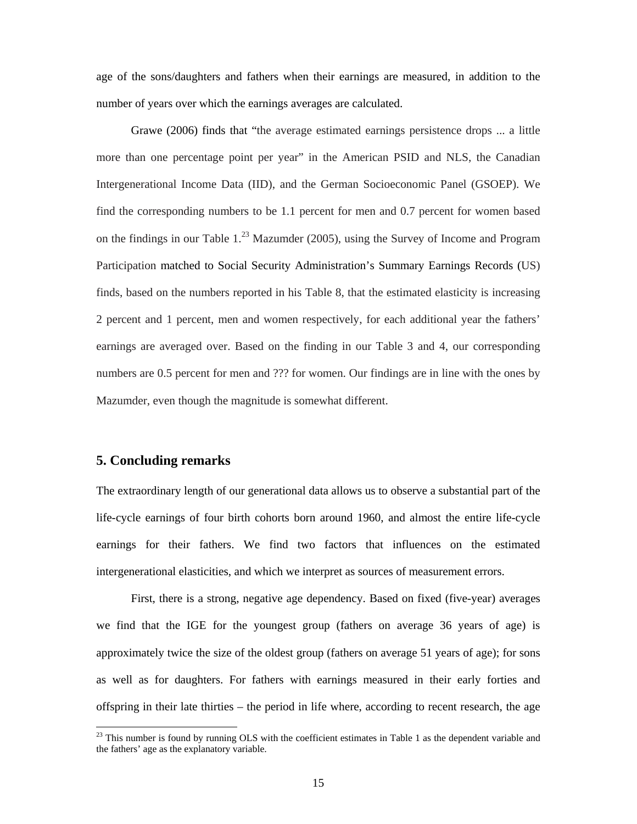age of the sons/daughters and fathers when their earnings are measured, in addition to the number of years over which the earnings averages are calculated.

Grawe (2006) finds that "the average estimated earnings persistence drops ... a little more than one percentage point per year" in the American PSID and NLS, the Canadian Intergenerational Income Data (IID), and the German Socioeconomic Panel (GSOEP). We find the corresponding numbers to be 1.1 percent for men and 0.7 percent for women based on the findings in our Table  $1.^{23}$  Mazumder (2005), using the Survey of Income and Program Participation matched to Social Security Administration's Summary Earnings Records (US) finds, based on the numbers reported in his Table 8, that the estimated elasticity is increasing 2 percent and 1 percent, men and women respectively, for each additional year the fathers' earnings are averaged over. Based on the finding in our Table 3 and 4, our corresponding numbers are 0.5 percent for men and ??? for women. Our findings are in line with the ones by Mazumder, even though the magnitude is somewhat different.

### **5. Concluding remarks**

 $\overline{\phantom{a}}$ 

The extraordinary length of our generational data allows us to observe a substantial part of the life-cycle earnings of four birth cohorts born around 1960, and almost the entire life-cycle earnings for their fathers. We find two factors that influences on the estimated intergenerational elasticities, and which we interpret as sources of measurement errors.

 First, there is a strong, negative age dependency. Based on fixed (five-year) averages we find that the IGE for the youngest group (fathers on average 36 years of age) is approximately twice the size of the oldest group (fathers on average 51 years of age); for sons as well as for daughters. For fathers with earnings measured in their early forties and offspring in their late thirties – the period in life where, according to recent research, the age

<sup>&</sup>lt;sup>23</sup> This number is found by running OLS with the coefficient estimates in Table 1 as the dependent variable and the fathers' age as the explanatory variable.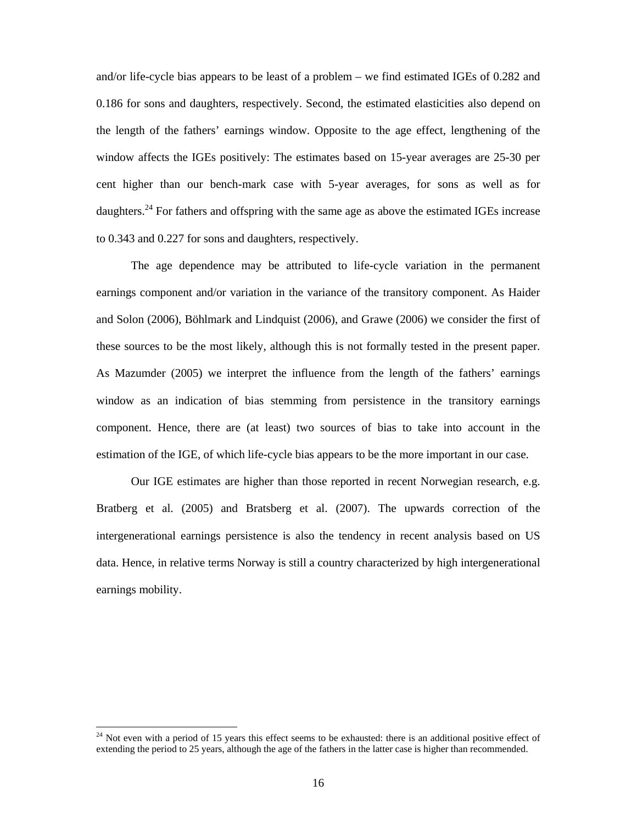and/or life-cycle bias appears to be least of a problem – we find estimated IGEs of 0.282 and 0.186 for sons and daughters, respectively. Second, the estimated elasticities also depend on the length of the fathers' earnings window. Opposite to the age effect, lengthening of the window affects the IGEs positively: The estimates based on 15-year averages are 25-30 per cent higher than our bench-mark case with 5-year averages, for sons as well as for daughters.<sup>24</sup> For fathers and offspring with the same age as above the estimated IGEs increase to 0.343 and 0.227 for sons and daughters, respectively.

 The age dependence may be attributed to life-cycle variation in the permanent earnings component and/or variation in the variance of the transitory component. As Haider and Solon (2006), Böhlmark and Lindquist (2006), and Grawe (2006) we consider the first of these sources to be the most likely, although this is not formally tested in the present paper. As Mazumder (2005) we interpret the influence from the length of the fathers' earnings window as an indication of bias stemming from persistence in the transitory earnings component. Hence, there are (at least) two sources of bias to take into account in the estimation of the IGE, of which life-cycle bias appears to be the more important in our case.

 Our IGE estimates are higher than those reported in recent Norwegian research, e.g. Bratberg et al. (2005) and Bratsberg et al. (2007). The upwards correction of the intergenerational earnings persistence is also the tendency in recent analysis based on US data. Hence, in relative terms Norway is still a country characterized by high intergenerational earnings mobility.

 $\overline{\phantom{a}}$ 

 $24$  Not even with a period of 15 years this effect seems to be exhausted: there is an additional positive effect of extending the period to 25 years, although the age of the fathers in the latter case is higher than recommended.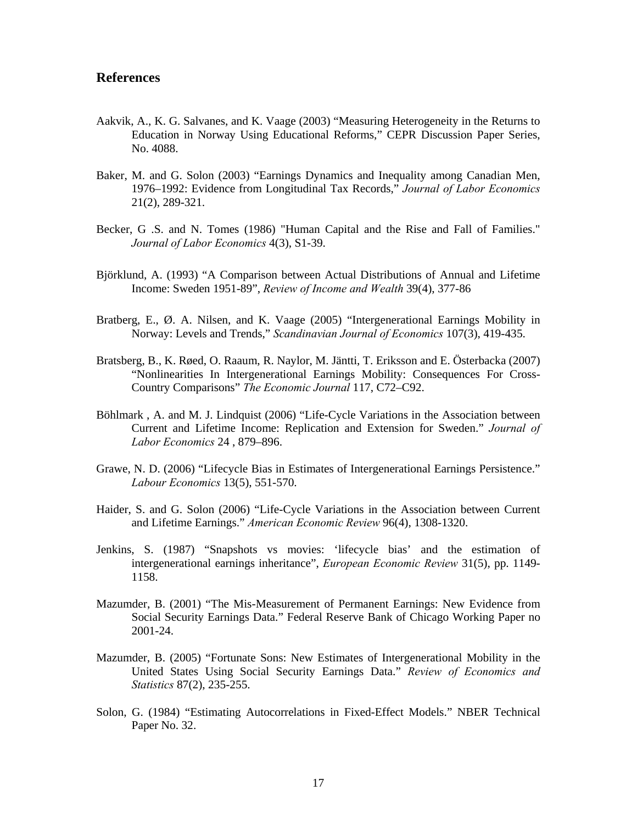## **References**

- Aakvik, A., K. G. Salvanes, and K. Vaage (2003) "Measuring Heterogeneity in the Returns to Education in Norway Using Educational Reforms," CEPR Discussion Paper Series, No. 4088.
- Baker, M. and G. Solon (2003) "Earnings Dynamics and Inequality among Canadian Men, 1976–1992: Evidence from Longitudinal Tax Records," *Journal of Labor Economics* 21(2), 289-321.
- Becker, G .S. and N. Tomes (1986) "Human Capital and the Rise and Fall of Families." *Journal of Labor Economics* 4(3), S1-39.
- Björklund, A. (1993) "A Comparison between Actual Distributions of Annual and Lifetime Income: Sweden 1951-89", *Review of Income and Wealth* 39(4), 377-86
- Bratberg, E., Ø. A. Nilsen, and K. Vaage (2005) "Intergenerational Earnings Mobility in Norway: Levels and Trends," *Scandinavian Journal of Economics* 107(3), 419-435.
- Bratsberg, B., K. Røed, O. Raaum, R. Naylor, M. Jäntti, T. Eriksson and E. Österbacka (2007) "Nonlinearities In Intergenerational Earnings Mobility: Consequences For Cross-Country Comparisons" *The Economic Journal* 117, C72–C92.
- Böhlmark , A. and M. J. Lindquist (2006) "Life-Cycle Variations in the Association between Current and Lifetime Income: Replication and Extension for Sweden." *Journal of Labor Economics* 24 , 879–896.
- Grawe, N. D. (2006) "Lifecycle Bias in Estimates of Intergenerational Earnings Persistence." *Labour Economics* 13(5), 551-570.
- Haider, S. and G. Solon (2006) "Life-Cycle Variations in the Association between Current and Lifetime Earnings." *American Economic Review* 96(4), 1308-1320.
- Jenkins, S. (1987) "Snapshots vs movies: 'lifecycle bias' and the estimation of intergenerational earnings inheritance", *European Economic Review* 31(5), pp. 1149- 1158.
- Mazumder, B. (2001) "The Mis-Measurement of Permanent Earnings: New Evidence from Social Security Earnings Data." Federal Reserve Bank of Chicago Working Paper no 2001-24.
- Mazumder, B. (2005) "Fortunate Sons: New Estimates of Intergenerational Mobility in the United States Using Social Security Earnings Data." *Review of Economics and Statistics* 87(2), 235-255.
- Solon, G. (1984) "Estimating Autocorrelations in Fixed-Effect Models." NBER Technical Paper No. 32.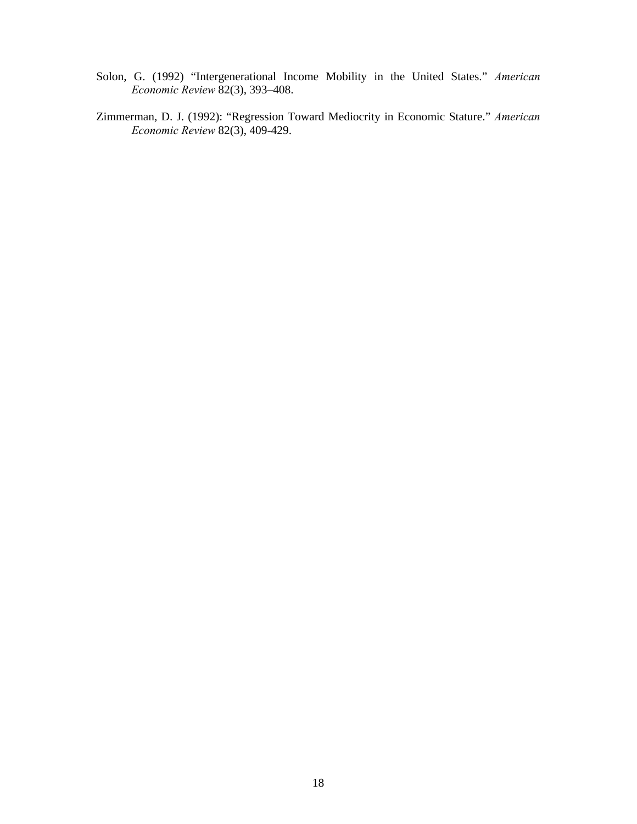- Solon, G. (1992) "Intergenerational Income Mobility in the United States." *American Economic Review* 82(3), 393–408.
- Zimmerman, D. J. (1992): "Regression Toward Mediocrity in Economic Stature." *American Economic Review* 82(3), 409-429.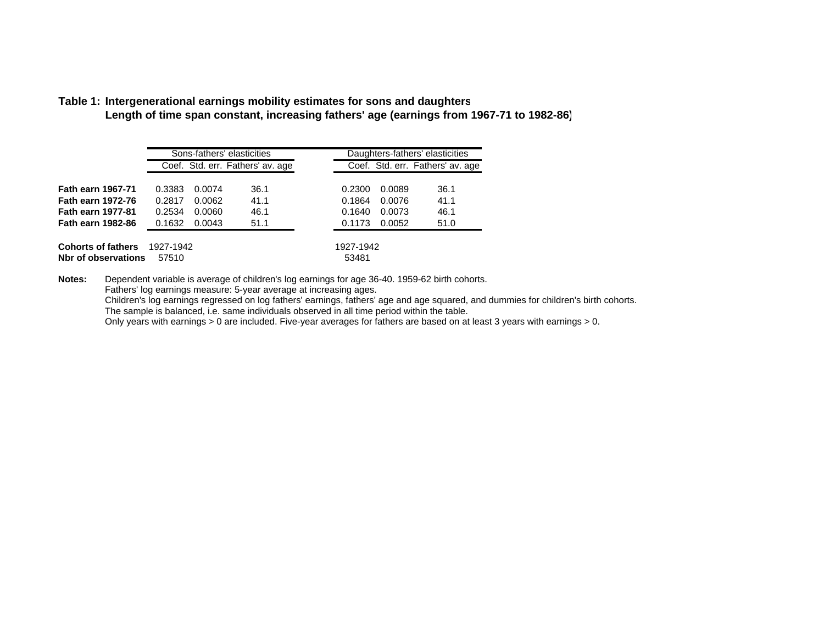#### **Table 1: Intergenerational earnings mobility estimates for sons and daughter s**

**Length of time span constant, increasing fathers' age (earnings from 1967-71 to 1982-86)**

|                           |           |        | Sons-fathers' elasticities       | Daughters-fathers' elasticities |        |                                  |  |
|---------------------------|-----------|--------|----------------------------------|---------------------------------|--------|----------------------------------|--|
|                           |           |        | Coef. Std. err. Fathers' av. age |                                 |        | Coef. Std. err. Fathers' av. age |  |
| <b>Fath earn 1967-71</b>  | 0.3383    | 0.0074 | 36.1                             | 0.2300                          | 0.0089 | 36.1                             |  |
| <b>Fath earn 1972-76</b>  | 0.2817    | 0.0062 | 41.1                             | 0.1864                          | 0.0076 | 41.1                             |  |
| <b>Fath earn 1977-81</b>  | 0.2534    | 0.0060 | 46.1                             | 0.1640                          | 0.0073 | 46.1                             |  |
| <b>Fath earn 1982-86</b>  | 0.1632    | 0.0043 | 51.1                             | 0.1173                          | 0.0052 | 51.0                             |  |
|                           |           |        |                                  |                                 |        |                                  |  |
| <b>Cohorts of fathers</b> | 1927-1942 |        |                                  | 1927-1942                       |        |                                  |  |
| Nbr of observations       | 57510     |        |                                  | 53481                           |        |                                  |  |

**Notes:** Dependent variable is average of children's log earnings for age 36-40. 1959-62 birth cohorts.

Fathers' log earnings measure: 5-year average at increasing ages.

Children's log earnings regressed on log fathers' earnings, fathers' age and age squared, and dummies for children's birth cohorts.

The sample is balanced, i.e. same individuals observed in all time period within the table.

Only years with earnings > 0 are included. Five-year averages for fathers are based on at least 3 years with earnings > 0.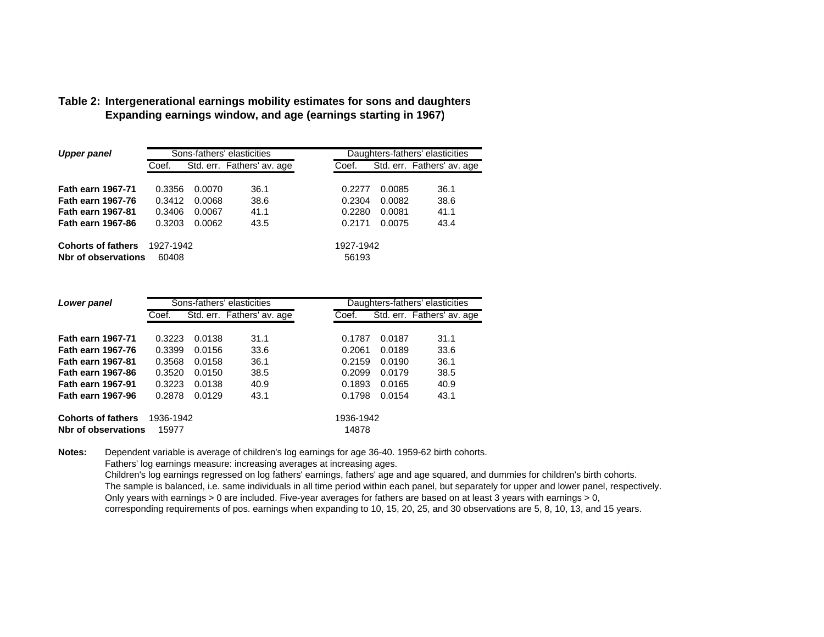| Upper panel                                      |                    |        | Sons-fathers' elasticities | Daughters-fathers' elasticities |        |                            |  |
|--------------------------------------------------|--------------------|--------|----------------------------|---------------------------------|--------|----------------------------|--|
|                                                  | Coef.              |        | Std. err. Fathers' av. age | Coef.                           |        | Std. err. Fathers' av. age |  |
|                                                  |                    |        |                            |                                 |        |                            |  |
| <b>Fath earn 1967-71</b>                         | 0.3356             | 0.0070 | 36.1                       | 0.2277                          | 0.0085 | 36.1                       |  |
| <b>Fath earn 1967-76</b>                         | 0.3412             | 0.0068 | 38.6                       | 0.2304                          | 0.0082 | 38.6                       |  |
| <b>Fath earn 1967-81</b>                         | 0.3406             | 0.0067 | 41.1                       | 0.2280                          | 0.0081 | 41.1                       |  |
| <b>Fath earn 1967-86</b>                         | 0.3203             | 0.0062 | 43.5                       | 0.2171                          | 0.0075 | 43.4                       |  |
| <b>Cohorts of fathers</b><br>Nbr of observations | 1927-1942<br>60408 |        |                            | 1927-1942<br>56193              |        |                            |  |

## **Table 2: Intergenerational earnings mobility estimates for sons and daughter s Expanding earnings window, and age (earnings starting in 1967)**

| Lower panel               |           |        | Sons-fathers' elasticities | Daughters-fathers' elasticities |        |                            |  |
|---------------------------|-----------|--------|----------------------------|---------------------------------|--------|----------------------------|--|
|                           | Coef.     |        | Std. err. Fathers' av. age | Coef.                           |        | Std. err. Fathers' av. age |  |
|                           |           |        |                            |                                 |        |                            |  |
| <b>Fath earn 1967-71</b>  | 0.3223    | 0.0138 | 31.1                       | 0.1787                          | 0.0187 | 31.1                       |  |
| <b>Fath earn 1967-76</b>  | 0.3399    | 0.0156 | 33.6                       | 0.2061                          | 0.0189 | 33.6                       |  |
| <b>Fath earn 1967-81</b>  | 0.3568    | 0.0158 | 36.1                       | 0.2159                          | 0.0190 | 36.1                       |  |
| <b>Fath earn 1967-86</b>  | 0.3520    | 0.0150 | 38.5                       | 0.2099                          | 0.0179 | 38.5                       |  |
| <b>Fath earn 1967-91</b>  | 0.3223    | 0.0138 | 40.9                       | 0.1893                          | 0.0165 | 40.9                       |  |
| <b>Fath earn 1967-96</b>  | 0.2878    | 0.0129 | 43.1                       | 0.1798                          | 0.0154 | 43.1                       |  |
| <b>Cohorts of fathers</b> | 1936-1942 |        |                            | 1936-1942                       |        |                            |  |
| Nbr of observations       | 15977     |        |                            | 14878                           |        |                            |  |

**Notes:** Dependent variable is average of children's log earnings for age 36-40. 1959-62 birth cohorts.

Fathers' log earnings measure: increasing averages at increasing ages.

Children's log earnings regressed on log fathers' earnings, fathers' age and age squared, and dummies for children's birth cohorts. The sample is balanced, i.e. same individuals in all time period within each panel, but separately for upper and lower panel, respectively. Only years with earnings > 0 are included. Five-year averages for fathers are based on at least 3 years with earnings > 0, corresponding requirements of pos. earnings when expanding to 10, 15, 20, 25, and 30 observations are 5, 8, 10, 13, and 15 years.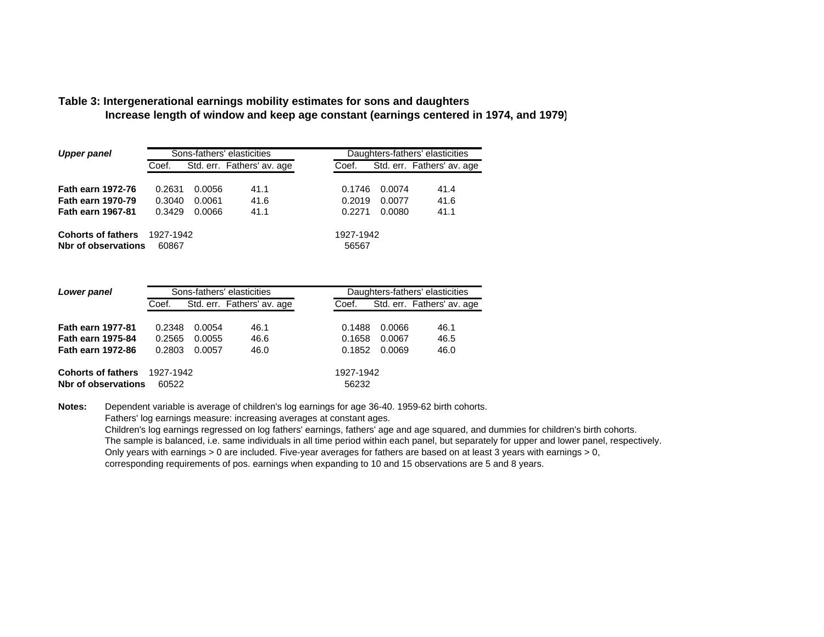#### **Table 3: Intergenerational earnings mobility estimates for sons and daughter s Increase length of window and keep age constant (earnings centered in 1974, and 1979)**

| <b>Upper panel</b>                               |                                     |        | Sons-fathers' elasticities |                    | Daughters-fathers' elasticities |                            |  |  |
|--------------------------------------------------|-------------------------------------|--------|----------------------------|--------------------|---------------------------------|----------------------------|--|--|
|                                                  | Std. err. Fathers' av. age<br>Coef. |        |                            | Coef.              |                                 | Std. err. Fathers' av. age |  |  |
| <b>Fath earn 1972-76</b>                         | 0.2631                              | 0.0056 | 41.1                       | 0.1746             | 0.0074                          | 41.4                       |  |  |
| <b>Fath earn 1970-79</b>                         | 0.3040                              | 0.0061 | 41.6                       | 0.2019             | 0.0077                          | 41.6                       |  |  |
| <b>Fath earn 1967-81</b>                         | 0.3429                              | 0.0066 | 41.1                       | 0.2271             | 0.0080                          | 41.1                       |  |  |
| <b>Cohorts of fathers</b><br>Nbr of observations | 1927-1942<br>60867                  |        |                            | 1927-1942<br>56567 |                                 |                            |  |  |

| Lower panel                                      |                    |        | Sons-fathers' elasticities | Daughters-fathers' elasticities |        |                            |
|--------------------------------------------------|--------------------|--------|----------------------------|---------------------------------|--------|----------------------------|
|                                                  | Coef.              |        | Std. err. Fathers' av. age | Coef.                           |        | Std. err. Fathers' av. age |
|                                                  |                    |        |                            |                                 |        |                            |
| <b>Fath earn 1977-81</b>                         | 0.2348             | 0.0054 | 46.1                       | 0.1488                          | 0.0066 | 46.1                       |
| <b>Fath earn 1975-84</b>                         | 0.2565             | 0.0055 | 46.6                       | 0.1658                          | 0.0067 | 46.5                       |
| <b>Fath earn 1972-86</b>                         | 0.2803             | 0.0057 | 46.0                       | 0.1852                          | 0.0069 | 46.0                       |
| <b>Cohorts of fathers</b><br>Nbr of observations | 1927-1942<br>60522 |        |                            | 1927-1942<br>56232              |        |                            |

**Notes:** Dependent variable is average of children's log earnings for age 36-40. 1959-62 birth cohorts. Fathers' log earnings measure: increasing averages at constant ages.

Children's log earnings regressed on log fathers' earnings, fathers' age and age squared, and dummies for children's birth cohorts. The sample is balanced, i.e. same individuals in all time period within each panel, but separately for upper and lower panel, respectively. Only years with earnings > 0 are included. Five-year averages for fathers are based on at least 3 years with earnings > 0, corresponding requirements of pos. earnings when expanding to 10 and 15 observations are 5 and 8 years.